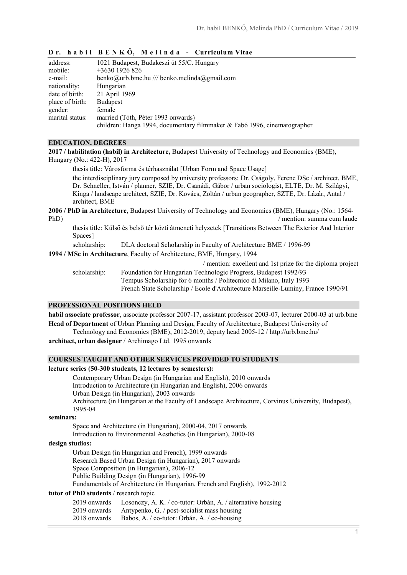# **D r. h a b i l B E N K Ő, M e l i n d a - Curriculum Vitae**

| address:        | 1021 Budapest, Budakeszi út 55/C. Hungary                                |
|-----------------|--------------------------------------------------------------------------|
| mobile:         | $+3630$ 1926 826                                                         |
| e-mail:         | benko@urb.bme.hu /// benko.melinda@gmail.com                             |
| nationality:    | Hungarian                                                                |
| date of birth:  | 21 April 1969                                                            |
| place of birth: | <b>Budapest</b>                                                          |
| gender:         | female                                                                   |
| marital status: | married (Tóth, Péter 1993 onwards)                                       |
|                 | children: Hanga 1994, documentary filmmaker & Fabó 1996, cinematographer |

### **EDUCATION, DEGREES**

**2017 / habilitation (habil) in Architecture,** Budapest University of Technology and Economics (BME), Hungary (No.: 422-H), 2017

thesis title: Városforma és térhasználat [Urban Form and Space Usage]

the interdisciplinary jury composed by university professors: Dr. Cságoly, Ferenc DSc / architect, BME, Dr. Schneller, István / planner, SZIE, Dr. Csanádi, Gábor / urban sociologist, ELTE, Dr. M. Szilágyi, Kinga / landscape architect, SZIE, Dr. Kovács, Zoltán / urban geographer, SZTE, Dr. Lázár, Antal / architect, BME

**2006 / PhD in Architecture**, Budapest University of Technology and Economics (BME), Hungary (No.: 1564- PhD) / mention: summa cum laude

thesis title: Külső és belső tér közti átmeneti helyzetek [Transitions Between The Exterior And Interior Spaces]

scholarship: DLA doctoral Scholarship in Faculty of Architecture BME / 1996-99

**1994 / MSc in Architecture**, Faculty of Architecture, BME, Hungary, 1994

/ mention: excellent and 1st prize for the diploma project scholarship: Foundation for Hungarian Technologic Progress, Budapest 1992/93 Tempus Scholarship for 6 months / Politecnico di Milano, Italy 1993

French State Scholarship / Ecole d'Architecture Marseille-Luminy, France 1990/91

### **PROFESSIONAL POSITIONS HELD**

**habil associate professor**, associate professor 2007-17, assistant professor 2003-07, lecturer 2000-03 at urb.bme **Head of Department** of Urban Planning and Design, Faculty of Architecture, Budapest University of

Technology and Economics (BME), 2012-2019, deputy head 2005-12 / http://urb.bme.hu/

**architect, urban designer** / Archimago Ltd. 1995 onwards

### **COURSES TAUGHT AND OTHER SERVICES PROVIDED TO STUDENTS**

# **lecture series (50-300 students, 12 lectures by semesters):**

Contemporary Urban Design (in Hungarian and English), 2010 onwards

Introduction to Architecture (in Hungarian and English), 2006 onwards

Urban Design (in Hungarian), 2003 onwards

Architecture (in Hungarian at the Faculty of Landscape Architecture, Corvinus University, Budapest), 1995-04

**seminars:**

Space and Architecture (in Hungarian), 2000-04, 2017 onwards Introduction to Environmental Aesthetics (in Hungarian), 2000-08

### **design studios:**

Urban Design (in Hungarian and French), 1999 onwards Research Based Urban Design (in Hungarian), 2017 onwards Space Composition (in Hungarian), 2006-12 Public Building Design (in Hungarian), 1996-99 Fundamentals of Architecture (in Hungarian, French and English), 1992-2012

**tutor of PhD students** / research topic

|              | 2019 onwards Losonczy, A. K. / co-tutor: Orbán, A. / alternative housing |
|--------------|--------------------------------------------------------------------------|
| 2019 onwards | Antypenko, G. / post-socialist mass housing                              |
| 2018 onwards | Babos, A. / co-tutor: Orbán, A. / co-housing                             |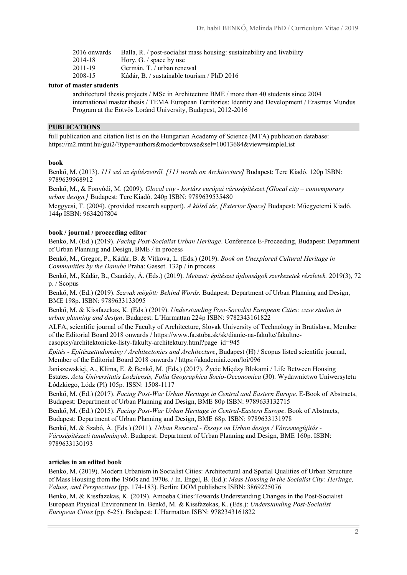| 2016 onwards | Balla, R. / post-socialist mass housing: sustainability and livability |
|--------------|------------------------------------------------------------------------|
| 2014-18      | Hory, G. / space by use                                                |
| 2011-19      | Germán, T. / urban renewal                                             |
| 2008-15      | Kádár, B. / sustainable tourism / PhD 2016                             |
|              |                                                                        |

### **tutor of master students**

architectural thesis projects / MSc in Architecture BME / more than 40 students since 2004 international master thesis / TEMA European Territories: Identity and Development / Erasmus Mundus Program at the Eötvös Loránd University, Budapest, 2012-2016

#### **PUBLICATIONS**

full publication and citation list is on the Hungarian Academy of Science (MTA) publication database: https://m2.mtmt.hu/gui2/?type=authors&mode=browse&sel=10013684&view=simpleList

#### **book**

Benkő, M. (2013). *111 szó az építészetről. [111 words on Architecture]* Budapest: Terc Kiadó. 120p ISBN: 9789639968912

Benkő, M., & Fonyódi, M. (2009). *Glocal city - kortárs európai városépítészet.[Glocal city – contemporary urban design.]* Budapest: Terc Kiadó. 240p ISBN: 9789639535480

Meggyesi, T. (2004). (provided research support). *A külső tér, [Exterior Space]* Budapest: Műegyetemi Kiadó. 144p ISBN: 9634207804

### **book / journal / proceeding editor**

Benkő, M. (Ed.) (2019). *Facing Post-Socialist Urban Heritage*. Conference E-Proceeding, Budapest: Department of Urban Planning and Design, BME / in process

Benkő, M., Gregor, P., Kádár, B. & Vitkova, L. (Eds.) (2019). *Book on Unexplored Cultural Heritage in Communities by the Danube* Praha: Gasset. 132p / in process

Benkő, M., Kádár, B., Csanády, Á. (Eds.) (2019). *Metszet: építészet újdonságok szerkezetek részletek.* 2019(3), 72 p. / Scopus

Benkő, M. (Ed.) (2019). *Szavak mögött: Behind Words.* Budapest: Department of Urban Planning and Design, BME 198p. ISBN: 9789633133095

Benkő, M. & Kissfazekas, K. (Eds.) (2019). *Understanding Post-Socialist European Cities: case studies in urban planning and design*. Budapest: L'Harmattan 224p ISBN: 9782343161822

ALFA, scientific journal of the Faculty of Architecture, Slovak University of Technology in Bratislava, Member of the Editorial Board 2018 onwards / https://www.fa.stuba.sk/sk/dianie-na-fakulte/fakultnecasopisy/architektonicke-listy-fakulty-architektury.html?page\_id=945

*Építés - Építészettudomány / Architectonics and Architecture*, Budapest (H) / Scopus listed scientific journal, Member of the Editorial Board 2018 onwards / https://akademiai.com/loi/096

Janiszewskiej, A., Klima, E. & Benkő, M. (Eds.) (2017). Życie Między Blokami / Life Between Housing Estates. *Acta Universitatis Lodziensis, Folia Geographica Socio-Oeconomica* (30). Wydawnictwo Uniwersytetu Łódzkiego, Łódz (Pl) 105p. ISSN: 1508-1117

Benkő, M. (Ed.) (2017). *Facing Post-War Urban Heritage in Central and Eastern Europe*. E-Book of Abstracts, Budapest: Department of Urban Planning and Design, BME 80p ISBN: 9789633132715

Benkő, M. (Ed.) (2015). *Facing Post-War Urban Heritage in Central-Eastern Europe*. Book of Abstracts, Budapest: Department of Urban Planning and Design, BME 68p. ISBN: 9789633131978

Benkő, M. & Szabó, Á. (Eds.) (2011). *Urban Renewal - Essays on Urban design / Városmegújítás - Városépítészeti tanulmányok*. Budapest: Department of Urban Planning and Design, BME 160p. ISBN: 9789633130193

#### **articles in an edited book**

Benkő, M. (2019). Modern Urbanism in Socialist Cities: Architectural and Spatial Qualities of Urban Structure of Mass Housing from the 1960s and 1970s. / In. Engel, B. (Ed.): *Mass Housing in the Socialist City: Heritage, Values, and Perspectives* (pp. 174-183). Berlin: DOM publishers ISBN: 3869225076

Benkő, M. & Kissfazekas, K. (2019). Amoeba Cities:Towards Understanding Changes in the Post-Socialist European Physical Environment In. Benkő, M. & Kissfazekas, K. (Eds.): *Understanding Post-Socialist European Cities* (pp. 6-25). Budapest: L'Harmattan ISBN: 9782343161822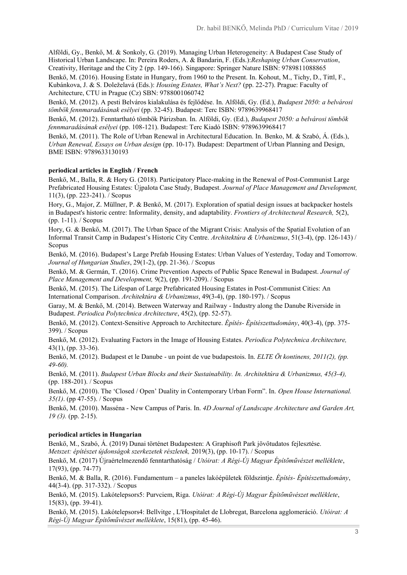Alföldi, Gy., Benkő, M. & Sonkoly, G. (2019). Managing Urban Heterogeneity: A Budapest Case Study of Historical Urban Landscape. In: Pereira Roders, A. & Bandarin, F. (Eds.):*Reshaping Urban Conservation*, Creativity, Heritage and the City 2 (pp. 149-166). Singapore: Springer Nature ISBN: 9789811088865

Benkő, M. (2016). Housing Estate in Hungary, from 1960 to the Present. In. Kohout, M., Tichy, D., Tittl, F., Kubánkova, J. & S. Doleželavá (Eds.): *Housing Estates, What's Next?* (pp. 22-27). Prague: Faculty of Architecture, CTU in Prague (Cz) SBN: 9788001060742

Benkő, M. (2012). A pesti Belváros kialakulása és fejlődése. In. Alföldi, Gy. (Ed.), *Budapest 2050: a belvárosi tömbök fennmaradásának esélyei* (pp. 32-45). Budapest: Terc ISBN: 9789639968417

Benkő, M. (2012). Fenntartható tömbök Párizsban. In. Alföldi, Gy. (Ed.), *Budapest 2050: a belvárosi tömbök fennmaradásának esélyei* (pp. 108-121). Budapest: Terc Kiadó ISBN: 9789639968417

Benkő, M. (2011). The Role of Urban Renewal in Architectural Education. In. Benko, M. & Szabó, Á. (Eds.), *Urban Renewal, Essays on Urban design* (pp. 10-17). Budapest: Department of Urban Planning and Design, BME ISBN: 9789633130193

### **periodical articles in English / French**

Benkő, M., Balla, R. & Hory G. (2018). Participatory Place-making in the Renewal of Post-Communist Large Prefabricated Housing Estates: Újpalota Case Study, Budapest. *Journal of Place Management and Development,* 11(3), (pp. 223-241). / Scopus

Hory, G., Major, Z. Müllner, P. & Benkő, M. (2017). Exploration of spatial design issues at backpacker hostels in Budapest's historic centre: Informality, density, and adaptability. *Frontiers of Architectural Research,* 5(2), (pp. 1-11). / Scopus

Hory, G. & Benkő, M. (2017). The Urban Space of the Migrant Crisis: Analysis of the Spatial Evolution of an Informal Transit Camp in Budapest's Historic City Centre. *Architektúra & Urbanizmus*, 51(3-4), (pp. 126-143) / Scopus

Benkő, M. (2016). Budapest's Large Prefab Housing Estates: Urban Values of Yesterday, Today and Tomorrow. *Journal of Hungarian Studies*, 29(1-2), (pp. 21-36). / Scopus

Benkő, M. & Germán, T. (2016). Crime Prevention Aspects of Public Space Renewal in Budapest. *Journal of Place Management and Development,* 9(2), (pp. 191-209). / Scopus

Benkő, M. (2015). The Lifespan of Large Prefabricated Housing Estates in Post-Communist Cities: An International Comparison. *Architektúra & Urbanizmus*, 49(3-4), (pp. 180-197). / Scopus

Garay, M. & Benkő, M. (2014). Between Waterway and Railway - Industry along the Danube Riverside in Budapest. *Periodica Polytechnica Architecture*, 45(2), (pp. 52-57).

Benkő, M. (2012). Context-Sensitive Approach to Architecture. *Építés- Építészettudomány*, 40(3-4), (pp. 375- 399). / Scopus

Benkő, M. (2012). Evaluating Factors in the Image of Housing Estates. *Periodica Polytechnica Architecture,*  43(1), (pp. 33-36).

Benkő, M. (2012). Budapest et le Danube - un point de vue budapestois. In. *ELTE Öt kontinens, 2011(2), (pp. 49-60).*

Benkő, M. (2011). *Budapest Urban Blocks and their Sustainability. In. Architektúra & Urbanizmus, 45(3-4),* (pp. 188-201). / Scopus

Benkő, M. (2010). The 'Closed / Open' Duality in Contemporary Urban Form". In. *Open House International. 35(1)*. (pp 47-55). / Scopus

Benkő, M. (2010). Masséna - New Campus of Paris. In. *4D Journal of Landscape Architecture and Garden Art, 19 (3).* (pp. 2-15).

# **periodical articles in Hungarian**

Benkő, M., Szabó, Á. (2019) Dunai történet Budapesten: A Graphisoft Park jövőtudatos fejlesztése. *Metszet: építészet újdonságok szerkezetek részletek,* 2019(3), (pp. 10-17). / Scopus

Benkő, M. (2017) Újraértelmezendő fenntarthatóság / *Utóirat: A Régi-Új Magyar Építőművészet melléklete*, 17(93), (pp. 74-77)

Benkő, M. & Balla, R. (2016). Fundamentum – a paneles lakóépületek földszintje. *Építés- Építészettudomány*, 44(3-4). (pp. 317-332). / Scopus

Benkő, M. (2015). Lakótelepsors5: Purvciem, Riga. *Utóirat: A Régi-Új Magyar Építőművészet melléklete*, 15(83), (pp. 39-41).

Benkő, M. (2015). Lakótelepsors4: Bellvitge , L'Hospitalet de Llobregat, Barcelona agglomeráció. *Utóirat: A Régi-Új Magyar Építőművészet melléklete*, 15(81), (pp. 45-46).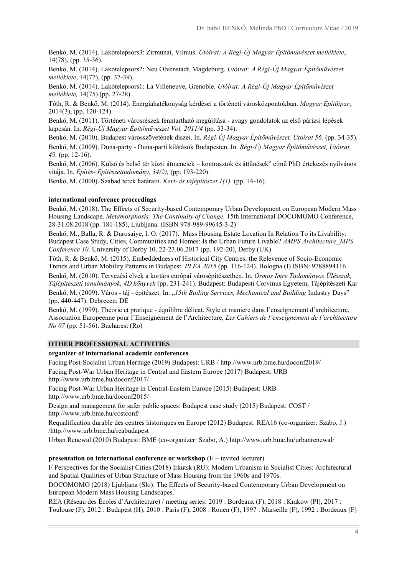Benkő, M. (2014). Lakótelepsors3: Zirmunai, Vilnius. *Utóirat: A Régi-Új Magyar Építőművészet melléklete*, 14(78), (pp. 35-36).

Benkő, M. (2014). Lakótelepsors2: Neu Olvenstadt, Magdeburg. *Utóirat: A Régi-Új Magyar Építőművészet melléklete*, 14(77), (pp. 37-39).

Benkő, M. (2014). Lakótelepsors1: La Villeneuve, Grenoble. *Utóirat: A Régi-Új Magyar Építőművészet melléklete,* 14(75) (pp. 27-28).

Tóth, R. & Benkő, M. (2014). Energiahatékonyság kérdései a történeti városközpontokban. *Magyar Építőipar*, 2014(3), (pp. 120-124).

Benkő, M. (2011). Történeti városrészek fenntartható megújítása - avagy gondolatok az első párizsi lépések kapcsán. In. *Régi-Új Magyar Építőművészet Vol. 2011/4* (pp. 33-34).

Benkő, M. (2010). Budapest városszövetének díszei. In. *Régi-Új Magyar Építőművészet, Utóirat 56.* (pp. 34-35). Benkő, M. (2009). Duna-party - Duna-parti kilátások Budapesten. In. *Régi-Új Magyar Építőművészet, Utóirat, 49.* (pp. 12-16).

Benkő, M. (2006). Külső és belső tér közti átmenetek – kontrasztok és áttűnések" című PhD értekezés nyilvános vitája. In. *Építés- Építészettudomány, 34(2),* (pp. 193-220).

Benkő, M. (2000). Szabad terek határain. *Kert- és tájépítészet 1(1).* (pp. 14-16).

### **international conference proceedings**

Benkő, M. (2018). The Effects of Security-based Contemporary Urban Development on European Modern Mass Housing Landscape. *Metamorphosis: The Continuity of Change.* 15th International DOCOMOMO Conference, 28-31.08.2018 (pp. 181-185), Ljubljana. (ISBN 978-989-99645-3-2)

Benkő, M., Balla, R. & Durosaiye, I. O. (2017). Mass Housing Estate Location In Relation To its Livability: Budapest Case Study, Cities, Communities and Homes: Is the Urban Future Livable? *AMPS Architecture\_MPS Conference 10,* University of Derby 10, 22-23.06.2017 (pp. 192-20), Derby (UK)

Tóth, R. & Benkő, M. (2015). Embeddedness of Historical City Centres: the Relevence of Socio-Economic Trends and Urban Mobility Patterns in Budapest. *PLEA 2015* (pp. 116-124). Bologna (I) ISBN: 9788894116

Benkő, M. (2010). Tervezési elvek a kortárs európai városépítészetben. In. *Ormos Imre Tudományos Ülésszak, Tájépítészeti tanulmányok, 4D könyvek* (pp. 231-241). Budapest: Budapesti Corvinus Egyetem, Tájépítészeti Kar Benkő, M. (2009). Város - táj - építészet. In. "*15th Builing Services, Mechanical and Building Industry Days*" (pp. 440-447). Debrecen: DE

Benkő, M. (1999). Théorie et pratique - équilibre délicat. Style et maniere dans l'enseignement d'architecture, Association Europeenne pour l'Enseignement de l'Architecture, *Les Cahiers de l'enseignement de l'architecture No 07* (pp. 51-56). Bucharest (Ro)

### **OTHER PROFESSIONAL ACTIVITIES**

#### **organizer of international academic conferences**

Facing Post-Socialist Urban Heritage (2019) Budapest: URB / http://www.urb.bme.hu/doconf2019/ Facing Post-War Urban Heritage in Central and Eastern Europe (2017) Budapest: URB

http://www.urb.bme.hu/doconf2017/

Facing Post-War Urban Heritage in Central-Eastern Europe (2015) Budapest: URB http://www.urb.bme.hu/doconf2015/

Design and management for safer public spaces: Budapest case study (2015) Budapest: COST / http://www.urb.bme.hu/costconf/

Requalification durable des centres historiques en Europe (2012) Budapest: REA16 (co-organizer: Szabo, J.) /http://www.urb.bme.hu/reabudapest

Urban Renewal (2010) Budapest: BME (co-organizer: Szabo, A.) http://www.urb.bme.hu/urbanrenewal/

### **presentation on international conference or workshop** (I/ – invited lecturer)

I/ Perspectives for the Socialist Cities (2018) Irkutsk (RU): Modern Urbanism in Socialist Cities: Architectural and Spatial Qualities of Urban Structure of Mass Housing from the 1960s and 1970s.

DOCOMOMO (2018) Ljubljana (Slo): The Effects of Security-based Contemporary Urban Development on European Modern Mass Housing Landscapes.

REA (Réseau des Écoles d'Architecture) / meeting series: 2019 : Bordeaux (F), 2018 : Krakow (Pl), 2017 : Toulouse (F), 2012 : Budapest (H), 2010 : Paris (F), 2008 : Rouen (F), 1997 : Marseille (F), 1992 : Bordeaux (F)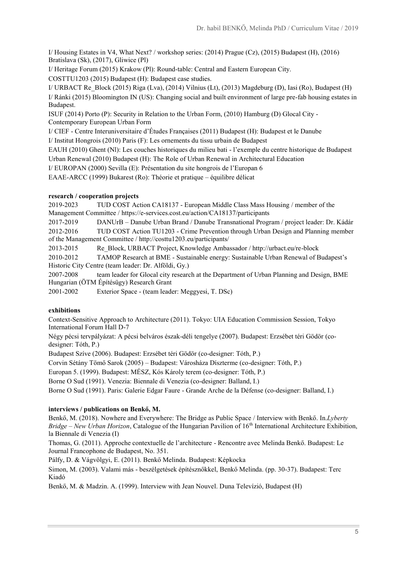I/ Housing Estates in V4, What Next? / workshop series: (2014) Prague (Cz), (2015) Budapest (H), (2016) Bratislava (Sk), (2017), Gliwice (Pl)

I/ Heritage Forum (2015) Krakow (Pl): Round-table: Central and Eastern European City.

COSTTU1203 (2015) Budapest (H): Budapest case studies.

I/ URBACT Re\_Block (2015) Riga (Lva), (2014) Vilnius (Lt), (2013) Magdeburg (D), Iasi (Ro), Budapest (H) I/ Ránki (2015) Bloomington IN (US): Changing social and built environment of large pre-fab housing estates in Budapest.

ISUF (2014) Porto (P): Security in Relation to the Urban Form, (2010) Hamburg (D) Glocal City - Contemporary European Urban Form

I/ CIEF - Centre Interuniversitaire d'Études Françaises (2011) Budapest (H): Budapest et le Danube

I/ Institut Hongrois (2010) Paris (F): Les ornements du tissu urbain de Budapest

EAUH (2010) Ghent (Nl): Les couches historiques du milieu bati - l'exemple du centre historique de Budapest

Urban Renewal (2010) Budapest (H): The Role of Urban Renewal in Architectural Education

I/ EUROPAN (2000) Sevilla (E): Présentation du site hongrois de l'Europan 6

EAAE-ARCC (1999) Bukarest (Ro): Théorie et pratique – équilibre délicat

## **research / cooperation projects**

2019-2023 TUD COST Action CA18137 - European Middle Class Mass Housing / member of the Management Committee / https://e-services.cost.eu/action/CA18137/participants

2017-2019 DANUrB – Danube Urban Brand / Danube Transnational Program / project leader: Dr. Kádár 2012-2016 TUD COST Action TU1203 - Crime Prevention through Urban Design and Planning member of the Management Committee / http://costtu1203.eu/participants/

2013-2015 Re\_Block, URBACT Project, Knowledge Ambassador / http://urbact.eu/re-block

2010-2012 TAMOP Research at BME - Sustainable energy: Sustainable Urban Renewal of Budapest's Historic City Centre (team leader: Dr. Alföldi, Gy.)

2007-2008 team leader for Glocal city research at the Department of Urban Planning and Design, BME Hungarian (ÖTM Építésügy) Research Grant

2001-2002 Exterior Space - (team leader: Meggyesi, T. DSc)

# **exhibitions**

Context-Sensitive Approach to Architecture (2011). Tokyo: UIA Education Commission Session, Tokyo International Forum Hall D-7

Négy pécsi tervpályázat: A pécsi belváros észak-déli tengelye (2007). Budapest: Erzsébet téri Gödör (codesigner: Tóth, P.)

Budapest Szíve (2006). Budapest: Erzsébet téri Gödör (co-designer: Tóth, P.)

Corvin Sétány Tömő Sarok (2005) – Budapest: Városháza Díszterme (co-designer: Tóth, P.)

Europan 5. (1999). Budapest: MÉSZ, Kós Károly terem (co-designer: Tóth, P.)

Borne O Sud (1991). Venezia: Biennale di Venezia (co-designer: Balland, I.)

Borne O Sud (1991). Paris: Galerie Edgar Faure - Grande Arche de la Défense (co-designer: Balland, I.)

# **interviews / publications on Benkő, M.**

Benkő, M. (2018). Nowhere and Everywhere: The Bridge as Public Space / Interview with Benkő. In.*Lyberty Bridge – New Urban Horizon*, Catalogue of the Hungarian Pavilion of 16th International Architecture Exhibition, la Biennale di Venezia (I)

Thomas, G. (2011). Approche contextuelle de l'architecture - Rencontre avec Melinda Benkő. Budapest: Le Journal Francophone de Budapest, No. 351.

Pálfy, D. & Vágvölgyi, E. (2011). Benkő Melinda. Budapest: Képkocka

Simon, M. (2003). Valami más - beszélgetések építésznőkkel, Benkő Melinda. (pp. 30-37). Budapest: Terc Kiadó

Benkő, M. & Madzin. A. (1999). Interview with Jean Nouvel. Duna Televízió, Budapest (H)